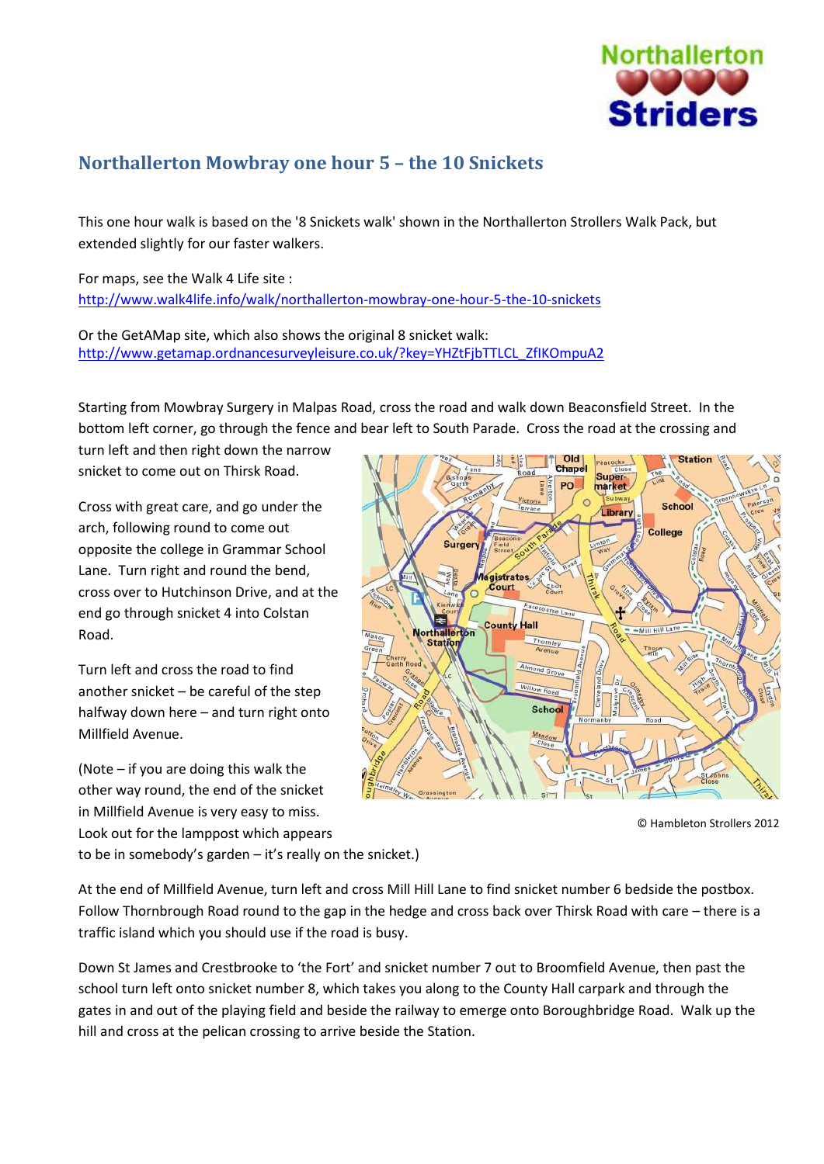

## **Northallerton Mowbray one hour 5 – the 10 Snickets**

This one hour walk is based on the '8 Snickets walk' shown in the Northallerton Strollers Walk Pack, but extended slightly for our faster walkers.

For maps, see the Walk 4 Life site : <http://www.walk4life.info/walk/northallerton-mowbray-one-hour-5-the-10-snickets>

Or the GetAMap site, which also shows the original 8 snicket walk: [http://www.getamap.ordnancesurveyleisure.co.uk/?key=YHZtFjbTTLCL\\_ZfIKOmpuA2](http://www.getamap.ordnancesurveyleisure.co.uk/?key=YHZtFjbTTLCL_ZfIKOmpuA2)

Starting from Mowbray Surgery in Malpas Road, cross the road and walk down Beaconsfield Street. In the bottom left corner, go through the fence and bear left to South Parade. Cross the road at the crossing and

turn left and then right down the narrow snicket to come out on Thirsk Road.

Cross with great care, and go under the arch, following round to come out opposite the college in Grammar School Lane. Turn right and round the bend, cross over to Hutchinson Drive, and at the end go through snicket 4 into Colstan Road.

Turn left and cross the road to find another snicket – be careful of the step halfway down here – and turn right onto Millfield Avenue.

(Note – if you are doing this walk the other way round, the end of the snicket in Millfield Avenue is very easy to miss. Look out for the lamppost which appears to be in somebody's garden – it's really on the snicket.)



© Hambleton Strollers 2012

At the end of Millfield Avenue, turn left and cross Mill Hill Lane to find snicket number 6 bedside the postbox. Follow Thornbrough Road round to the gap in the hedge and cross back over Thirsk Road with care – there is a traffic island which you should use if the road is busy.

Down St James and Crestbrooke to 'the Fort' and snicket number 7 out to Broomfield Avenue, then past the school turn left onto snicket number 8, which takes you along to the County Hall carpark and through the gates in and out of the playing field and beside the railway to emerge onto Boroughbridge Road. Walk up the hill and cross at the pelican crossing to arrive beside the Station.